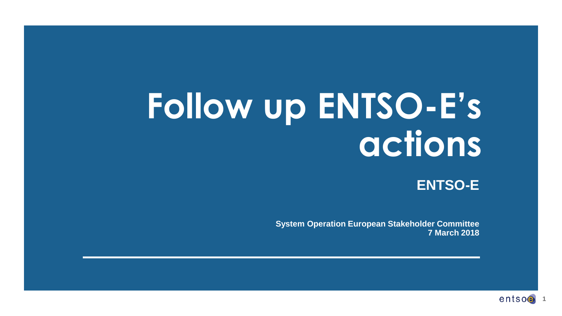# **Follow up ENTSO-E's actions**

**ENTSO-E**

**System Operation European Stakeholder Committee 7 March 2018**

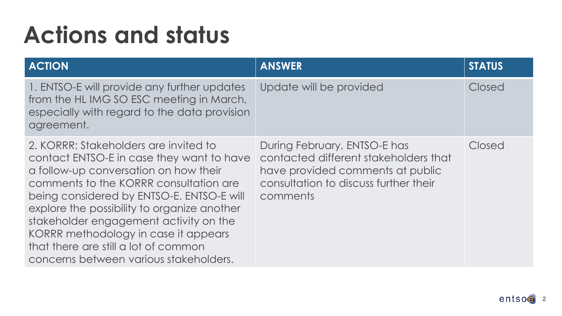| <b>ACTION</b>                                                                                                                                                                                                                                                                                                                                                                                                                         | <b>ANSWER</b>                                                                                                                                                  | <b>STATUS</b> |
|---------------------------------------------------------------------------------------------------------------------------------------------------------------------------------------------------------------------------------------------------------------------------------------------------------------------------------------------------------------------------------------------------------------------------------------|----------------------------------------------------------------------------------------------------------------------------------------------------------------|---------------|
| 1. ENTSO-E will provide any further updates<br>from the HLIMG SO ESC meeting in March,<br>especially with regard to the data provision<br>agreement.                                                                                                                                                                                                                                                                                  | Update will be provided                                                                                                                                        | Closed        |
| 2. KORRR: Stakeholders are invited to<br>contact ENTSO-E in case they want to have<br>a follow-up conversation on how their<br>comments to the KORRR consultation are<br>being considered by ENTSO-E. ENTSO-E will<br>explore the possibility to organize another<br>stakeholder engagement activity on the<br>KORRR methodology in case it appears<br>that there are still a lot of common<br>concerns between various stakeholders. | During February, ENTSO-E has<br>contacted different stakeholders that<br>have provided comments at public<br>consultation to discuss further their<br>comments | Closed        |

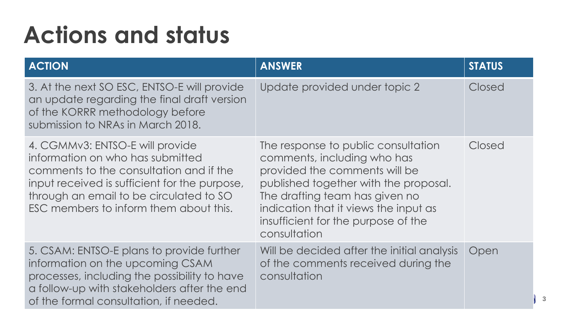| <b>ACTION</b>                                                                                                                                                                                                                                        | <b>ANSWER</b>                                                                                                                                                                                                                                                                  | <b>STATUS</b> |
|------------------------------------------------------------------------------------------------------------------------------------------------------------------------------------------------------------------------------------------------------|--------------------------------------------------------------------------------------------------------------------------------------------------------------------------------------------------------------------------------------------------------------------------------|---------------|
| 3. At the next SO ESC, ENTSO-E will provide<br>an update regarding the final draft version<br>of the KORRR methodology before<br>submission to NRAs in March 2018.                                                                                   | Update provided under topic 2                                                                                                                                                                                                                                                  | Closed        |
| 4. CGMMv3: ENTSO-E will provide<br>information on who has submitted<br>comments to the consultation and if the<br>input received is sufficient for the purpose,<br>through an email to be circulated to SO<br>ESC members to inform them about this. | The response to public consultation<br>comments, including who has<br>provided the comments will be<br>published together with the proposal.<br>The drafting team has given no<br>indication that it views the input as<br>insufficient for the purpose of the<br>consultation | Closed        |
| 5. CSAM: ENTSO-E plans to provide further<br>information on the upcoming CSAM<br>processes, including the possibility to have<br>a follow-up with stakeholders after the end<br>of the formal consultation, if needed.                               | Will be decided after the initial analysis<br>of the comments received during the<br>consultation                                                                                                                                                                              | Open          |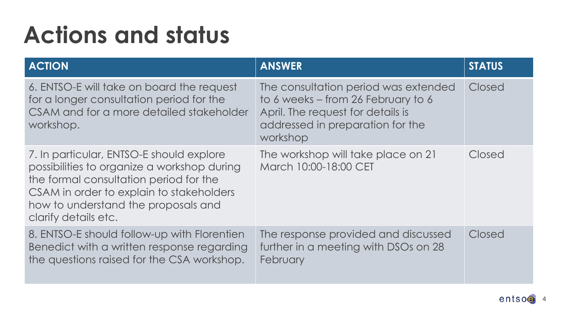| <b>ACTION</b>                                                                                                                                                                                                                                | <b>ANSWER</b>                                                                                                                                                   | <b>STATUS</b> |
|----------------------------------------------------------------------------------------------------------------------------------------------------------------------------------------------------------------------------------------------|-----------------------------------------------------------------------------------------------------------------------------------------------------------------|---------------|
| 6. ENTSO-E will take on board the request<br>for a longer consultation period for the<br>CSAM and for a more detailed stakeholder<br>workshop.                                                                                               | The consultation period was extended<br>to 6 weeks – from 26 February to 6<br>April. The request for details is<br>addressed in preparation for the<br>workshop | Closed        |
| 7. In particular, ENTSO-E should explore<br>possibilities to organize a workshop during<br>the formal consultation period for the<br>CSAM in order to explain to stakeholders<br>how to understand the proposals and<br>clarify details etc. | The workshop will take place on 21<br>March 10:00-18:00 CET                                                                                                     | Closed        |
| 8. ENTSO-E should follow-up with Florentien<br>Benedict with a written response regarding<br>the questions raised for the CSA workshop.                                                                                                      | The response provided and discussed<br>further in a meeting with DSOs on 28<br>February                                                                         | Closed        |

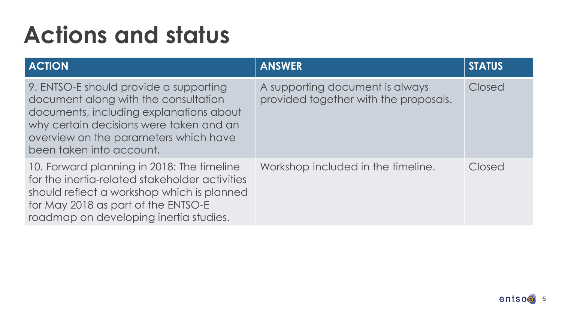| <b>ACTION</b>                                                                                                                                                                                                                             | <b>ANSWER</b>                                                            | <b>STATUS</b> |
|-------------------------------------------------------------------------------------------------------------------------------------------------------------------------------------------------------------------------------------------|--------------------------------------------------------------------------|---------------|
| 9. ENTSO-E should provide a supporting<br>document along with the consultation<br>documents, including explanations about<br>why certain decisions were taken and an<br>overview on the parameters which have<br>been taken into account. | A supporting document is always<br>provided together with the proposals. | Closed        |
| 10. Forward planning in 2018: The timeline<br>for the inertia-related stakeholder activities<br>should reflect a workshop which is planned<br>for May 2018 as part of the ENTSO-E<br>roadmap on developing inertia studies.               | Workshop included in the timeline.                                       | Closed        |

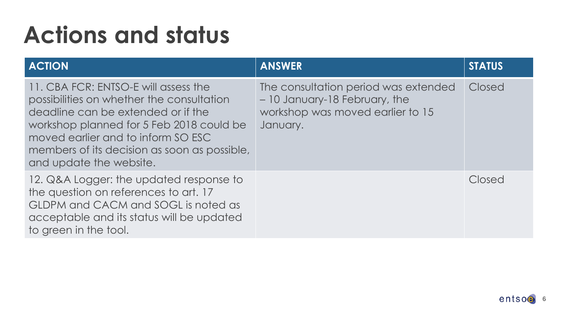| <b>ACTION</b>                                                                                                                                                                                                                                                                        | <b>ANSWER</b>                                                                                                         | <b>STATUS</b> |
|--------------------------------------------------------------------------------------------------------------------------------------------------------------------------------------------------------------------------------------------------------------------------------------|-----------------------------------------------------------------------------------------------------------------------|---------------|
| 11. CBA FCR: ENTSO-E will assess the<br>possibilities on whether the consultation<br>deadline can be extended or if the<br>workshop planned for 5 Feb 2018 could be<br>moved earlier and to inform SO ESC<br>members of its decision as soon as possible,<br>and update the website. | The consultation period was extended<br>- 10 January-18 February, the<br>workshop was moved earlier to 15<br>January. | Closed        |
| 12. Q&A Logger: the updated response to<br>the question on references to art. 17<br>GLDPM and CACM and SOGL is noted as<br>acceptable and its status will be updated<br>to green in the tool.                                                                                        |                                                                                                                       | Closed        |

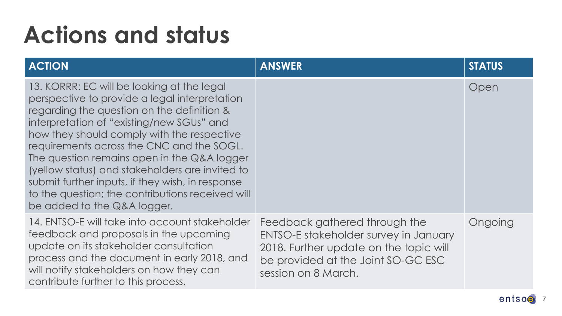| <b>ACTION</b>                                                                                                                                                                                                                                                                                                                                                                                                                                                                                                              | <b>ANSWER</b>                                                                                                                                                                 | <b>STATUS</b> |
|----------------------------------------------------------------------------------------------------------------------------------------------------------------------------------------------------------------------------------------------------------------------------------------------------------------------------------------------------------------------------------------------------------------------------------------------------------------------------------------------------------------------------|-------------------------------------------------------------------------------------------------------------------------------------------------------------------------------|---------------|
| 13. KORRR: EC will be looking at the legal<br>perspective to provide a legal interpretation<br>regarding the question on the definition &<br>interpretation of "existing/new SGUs" and<br>how they should comply with the respective<br>requirements across the CNC and the SOGL.<br>The question remains open in the Q&A logger<br>(yellow status) and stakeholders are invited to<br>submit further inputs, if they wish, in response<br>to the question; the contributions received will<br>be added to the Q&A logger. |                                                                                                                                                                               | Open          |
| 14. ENTSO-E will take into account stakeholder<br>feedback and proposals in the upcoming<br>update on its stakeholder consultation<br>process and the document in early 2018, and<br>will notify stakeholders on how they can<br>contribute further to this process.                                                                                                                                                                                                                                                       | Feedback gathered through the<br>ENTSO-E stakeholder survey in January<br>2018. Further update on the topic will<br>be provided at the Joint SO-GC ESC<br>session on 8 March. | Ongoing       |